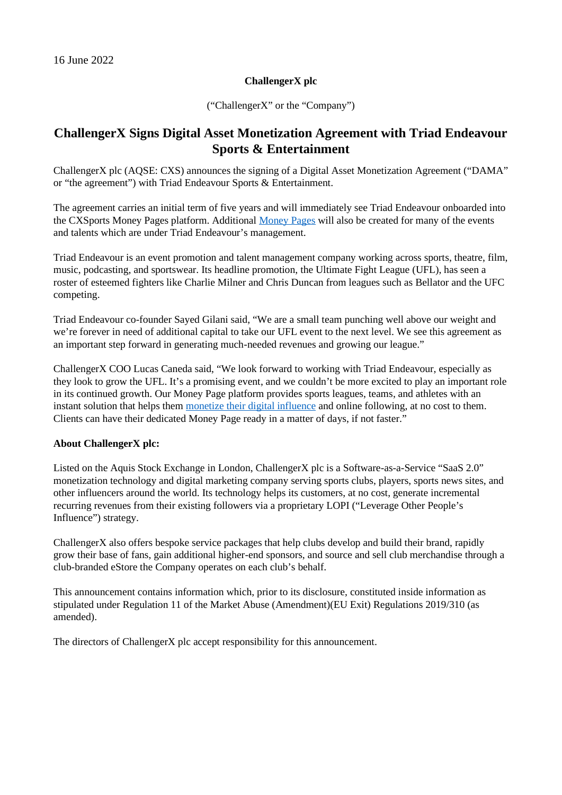## **ChallengerX plc**

("ChallengerX" or the "Company")

## **ChallengerX Signs Digital Asset Monetization Agreement with Triad Endeavour Sports & Entertainment**

ChallengerX plc (AQSE: CXS) announces the signing of a Digital Asset Monetization Agreement ("DAMA" or "the agreement") with Triad Endeavour Sports & Entertainment.

The agreement carries an initial term of five years and will immediately see Triad Endeavour onboarded into the CXSports Money Pages platform. Additional [Money Pages](https://cxsports.io/player/liam-messam-allblacks-rugby-player/) will also be created for many of the events and talents which are under Triad Endeavour's management.

Triad Endeavour is an event promotion and talent management company working across sports, theatre, film, music, podcasting, and sportswear. Its headline promotion, the Ultimate Fight League (UFL), has seen a roster of esteemed fighters like Charlie Milner and Chris Duncan from leagues such as Bellator and the UFC competing.

Triad Endeavour co-founder Sayed Gilani said, "We are a small team punching well above our weight and we're forever in need of additional capital to take our UFL event to the next level. We see this agreement as an important step forward in generating much-needed revenues and growing our league."

ChallengerX COO Lucas Caneda said, "We look forward to working with Triad Endeavour, especially as they look to grow the UFL. It's a promising event, and we couldn't be more excited to play an important role in its continued growth. Our Money Page platform provides sports leagues, teams, and athletes with an instant solution that helps them [monetize their digital influence](https://cxsports.io/) and online following, at no cost to them. Clients can have their dedicated Money Page ready in a matter of days, if not faster."

## **About ChallengerX plc:**

Listed on the Aquis Stock Exchange in London, ChallengerX plc is a Software-as-a-Service "SaaS 2.0" monetization technology and digital marketing company serving sports clubs, players, sports news sites, and other influencers around the world. Its technology helps its customers, at no cost, generate incremental recurring revenues from their existing followers via a proprietary LOPI ("Leverage Other People's Influence") strategy.

ChallengerX also offers bespoke service packages that help clubs develop and build their brand, rapidly grow their base of fans, gain additional higher-end sponsors, and source and sell club merchandise through a club-branded eStore the Company operates on each club's behalf.

This announcement contains information which, prior to its disclosure, constituted inside information as stipulated under Regulation 11 of the Market Abuse (Amendment)(EU Exit) Regulations 2019/310 (as amended).

The directors of ChallengerX plc accept responsibility for this announcement.